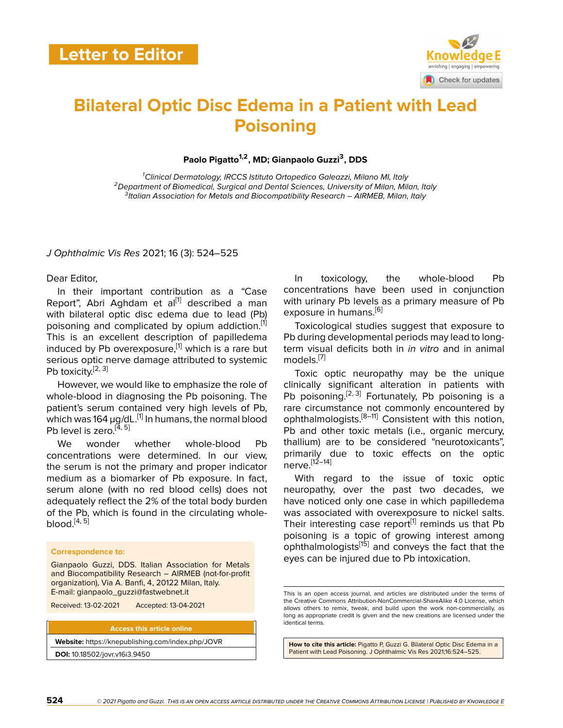

# **Bilateral Optic Disc Edema in a Patient with Lead Poisoning**

**Paolo Pigatto1,2, MD; Gianpaolo Guzzi<sup>3</sup> , DDS**

*<sup>1</sup>Clinical Dermatology, IRCCS Istituto Ortopedico Galeazzi, Milano MI, Italy <sup>2</sup>Department of Biomedical, Surgical and Dental Sciences, University of Milan, Milan, Italy 3 Italian Association for Metals and Biocompatibility Research – AIRMEB, Milan, Italy*

## *J Ophthalmic Vis Res* 2021; 16 (3): 524–525

Dear Editor,

In their important contribution as a "Case Report", Abri Aghdam et al $^{[1]}$  $^{[1]}$  $^{[1]}$  described a man with bilateral optic disc edema due to lead (Pb) poisoning and complicated by opium addiction.<sup>[[1](#page-1-0)]</sup> This is an excellent description of papilledema induced by Pb overexposure,<sup>[\[1\]](#page-1-0)</sup> which is a rare but serious optic nerve damage attributed to systemic Pb toxicity. $[2, 3]$  $[2, 3]$  $[2, 3]$ 

However, we would like to emphasize the role of whole-blood in diagnosing the Pb poisoning. The patient's serum contained very high levels of Pb, which was 164  $\mu$ g/dL.<sup>[\[1\]](#page-1-0)</sup> In humans, the normal blood Pb level is zero.<sup>[[4](#page-1-3), [5](#page-1-4)]</sup>

We wonder whether whole-blood Pb concentrations were determined. In our view, the serum is not the primary and proper indicator medium as a biomarker of Pb exposure. In fact, serum alone (with no red blood cells) does not adequately reflect the 2% of the total body burden of the Pb, which is found in the circulating wholeblood. $[4, 5]$  $[4, 5]$  $[4, 5]$  $[4, 5]$  $[4, 5]$ 

### **Correspondence to:**

Gianpaolo Guzzi, DDS. Italian Association for Metals and Biocompatibility Research – AIRMEB (not-for-profit organization), Via A. Banfi, 4, 20122 Milan, Italy. E-mail: gianpaolo\_guzzi@fastwebnet.it

Received: 13-02-2021 Accepted: 13-04-2021

#### **Access this article online**

**Website:** <https://knepublishing.com/index.php/JOVR>

**DOI:** 10.18502/jovr.v16i3.9450

In toxicology, the whole-blood Pb concentrations have been used in conjunction with urinary Pb levels as a primary measure of Pb exposure in humans.<sup>[[6](#page-1-5)]</sup>

Toxicological studies suggest that exposure to Pb during developmental periods may lead to longterm visual deficits both in *in vitro* and in animal models.<sup>[\[7](#page-1-6)]</sup>

Toxic optic neuropathy may be the unique clinically significant alteration in patients with Pb poisoning.<sup>[\[2,](#page-1-1) [3\]](#page-1-2)</sup> Fortunately, Pb poisoning is a rare circumstance not commonly encountered by ophthalmologists.[\[8–](#page-1-7)[11](#page-1-8)] Consistent with this notion, Pb and other toxic metals (i.e., organic mercury, thallium) are to be considered "neurotoxicants", primarily due to toxic effects on the optic  $n$ erve.<sup>[\[12](#page-1-9)–[14\]](#page-1-10)</sup>

With regard to the issue of toxic optic neuropathy, over the past two decades, we have noticed only one case in which papilledema was associated with overexposure to nickel salts. Their interesting case report<sup>[\[1\]](#page-1-0)</sup> reminds us that Pb poisoning is a topic of growing interest among ophthalmologists<sup>[\[15\]](#page-1-11)</sup> and conveys the fact that the eyes can be injured due to Pb intoxication.

**How to cite this article:** Pigatto P, Guzzi G. Bilateral Optic Disc Edema in a Patient with Lead Poisoning. J Ophthalmic Vis Res 2021;16:524–525.

This is an open access journal, and articles are distributed under the terms of the Creative Commons Attribution-NonCommercial-ShareAlike 4.0 License, which allows others to remix, tweak, and build upon the work non-commercially, as long as appropriate credit is given and the new creations are licensed under the identical terms.